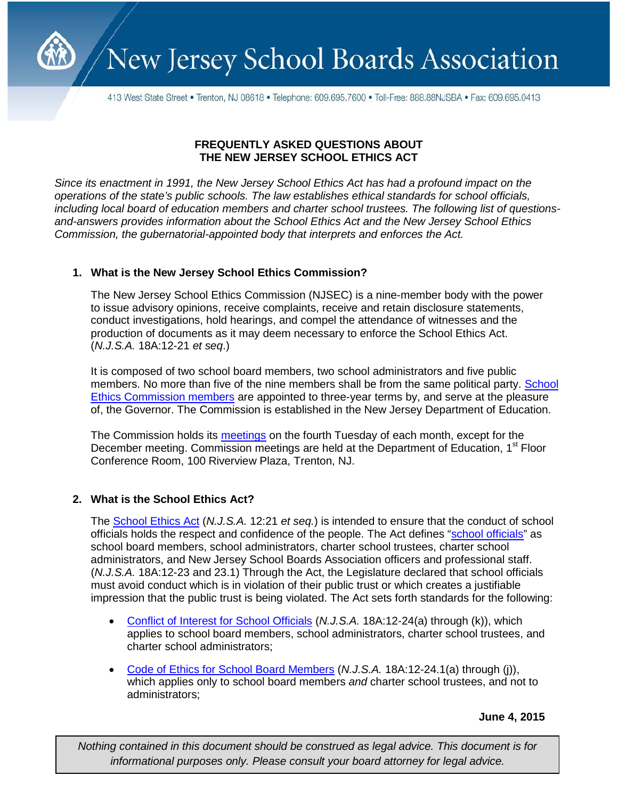

New Jersey School Boards Association

413 West State Street • Trenton, NJ 08618 • Telephone: 609.695.7600 • Toll-Free: 888.88NJSBA • Fax: 609.695.0413

## **FREQUENTLY ASKED QUESTIONS ABOUT THE NEW JERSEY SCHOOL ETHICS ACT**

*Since its enactment in 1991, the New Jersey School Ethics Act has had a profound impact on the operations of the state's public schools. The law establishes ethical standards for school officials, including local board of education members and charter school trustees. The following list of questionsand-answers provides information about the School Ethics Act and the New Jersey School Ethics Commission, the gubernatorial-appointed body that interprets and enforces the Act.*

# **1. What is the New Jersey School Ethics Commission?**

The New Jersey School Ethics Commission (NJSEC) is a nine-member body with the power to issue advisory opinions, receive complaints, receive and retain disclosure statements, conduct investigations, hold hearings, and compel the attendance of witnesses and the production of documents as it may deem necessary to enforce the School Ethics Act. (*N.J.S.A.* 18A:12-21 *et seq*.)

It is composed of two school board members, two school administrators and five public members. No more than five of the nine members shall be from the same political party. School [Ethics Commission members](http://www.state.nj.us/education/ethics/commission.htm) are appointed to three-year terms by, and serve at the pleasure of, the Governor. The Commission is established in the New Jersey Department of Education.

The Commission holds its [meetings](http://www.state.nj.us/education/ethics/meetings.htm) on the fourth Tuesday of each month, except for the December meeting. Commission meetings are held at the Department of Education, 1<sup>st</sup> Floor Conference Room, 100 Riverview Plaza, Trenton, NJ.

# **2. What is the School Ethics Act?**

The [School Ethics Act](http://www.state.nj.us/education/ethics/act.htm) (*N.J.S.A.* 12:21 *et seq.*) is intended to ensure that the conduct of school officials holds the respect and confidence of the people. The Act defines ["school officials"](http://www.state.nj.us/education/ethics/officials.htm) as school board members, school administrators, charter school trustees, charter school administrators, and New Jersey School Boards Association officers and professional staff. (*N.J.S.A.* 18A:12-23 and 23.1) Through the Act, the Legislature declared that school officials must avoid conduct which is in violation of their public trust or which creates a justifiable impression that the public trust is being violated. The Act sets forth standards for the following:

- [Conflict of Interest for School](http://www.state.nj.us/education/ethics/coi.htm) Officials (*N.J.S.A.* 18A:12-24(a) through (k)), which applies to school board members, school administrators, charter school trustees, and charter school administrators;
- [Code of Ethics for School Board Members](http://www.state.nj.us/education/ethics/coe.htm) (*N.J.S.A.* 18A:12-24.1(a) through (j)), which applies only to school board members *and* charter school trustees, and not to administrators;

#### **June 4, 2015**

*Nothing contained in this document should be construed as legal advice. This document is for informational purposes only. Please consult your board attorney for legal advice.*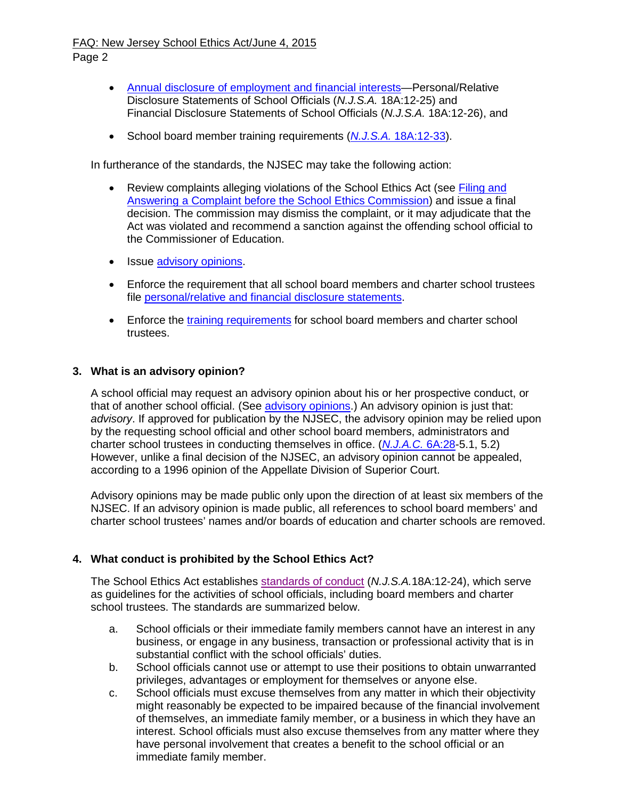#### FAQ: New Jersey School Ethics Act/June 4, 2015 Page 2

- [Annual disclosure of employment and financial interests—](http://www.state.nj.us/education/ethics/fds/index.html)Personal/Relative Disclosure Statements of School Officials (*N.J.S.A.* 18A:12-25) and Financial Disclosure Statements of School Officials (*N.J.S.A.* 18A:12-26), and
- School board member training requirements (*N.J.S.A.* [18A:12-33\)](http://lis.njleg.state.nj.us/cgi-bin/om_isapi.dll?clientID=41284554&Depth=2&depth=2&expandheadings=on&headingswithhits=on&hitsperheading=on&infobase=statutes.nfo&record=%7b7D47%7d&softpage=Doc_Frame_PG42).

In furtherance of the standards, the NJSEC may take the following action:

- Review complaints alleging violations of the School Ethics Act (see Filing and Answering a Complaint before [the School Ethics Commission\)](http://www.state.nj.us/education/ethics/compform.htm) and issue a final decision. The commission may dismiss the complaint, or it may adjudicate that the Act was violated and recommend a sanction against the offending school official to the Commissioner of Education.
- Issue [advisory opinions.](http://www.state.nj.us/education/ethics/advisory.htm)
- Enforce the requirement that all school board members and charter school trustees file [personal/relative and financial disclosure statements.](http://www.state.nj.us/education/ethics/fds/index.html)
- Enforce the [training requirements](http://www.state.nj.us/education/ethics/training/) for school board members and charter school trustees.

### **3. What is an advisory opinion?**

A school official may request an advisory opinion about his or her prospective conduct, or that of another school official. (See [advisory opinions.](http://www.state.nj.us/education/ethics/advisory.htm)) An advisory opinion is just that: *advisory*. If approved for publication by the NJSEC, the advisory opinion may be relied upon by the requesting school official and other school board members, administrators and charter school trustees in conducting themselves in office. (*[N.J.A.C.](http://www.nj.gov/education/code/current/title6a/chap28.pdf)* 6A:28-5.1, 5.2) However, unlike a final decision of the NJSEC, an advisory opinion cannot be appealed, according to a 1996 opinion of the Appellate Division of Superior Court.

Advisory opinions may be made public only upon the direction of at least six members of the NJSEC. If an advisory opinion is made public, all references to school board members' and charter school trustees' names and/or boards of education and charter schools are removed.

# **4. What conduct is prohibited by the School Ethics Act?**

The School Ethics Act establishes [standards of conduct](http://www.nj.gov/education/ethics/coi.htm) (*N.J.S.A.*18A:12-24), which serve as guidelines for the activities of school officials, including board members and charter school trustees. The standards are summarized below.

- a. School officials or their immediate family members cannot have an interest in any business, or engage in any business, transaction or professional activity that is in substantial conflict with the school officials' duties.
- b. School officials cannot use or attempt to use their positions to obtain unwarranted privileges, advantages or employment for themselves or anyone else.
- c. School officials must excuse themselves from any matter in which their objectivity might reasonably be expected to be impaired because of the financial involvement of themselves, an immediate family member, or a business in which they have an interest. School officials must also excuse themselves from any matter where they have personal involvement that creates a benefit to the school official or an immediate family member.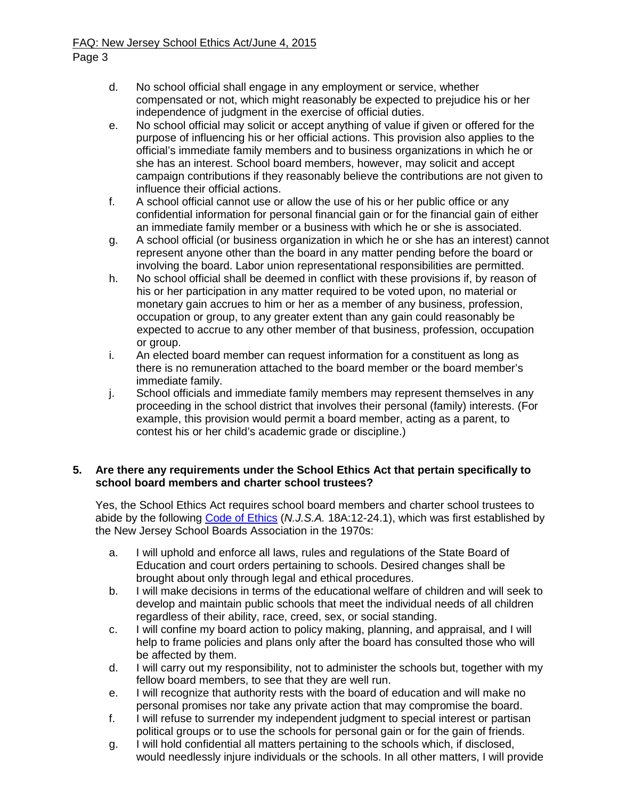- d. No school official shall engage in any employment or service, whether compensated or not, which might reasonably be expected to prejudice his or her independence of judgment in the exercise of official duties.
- e. No school official may solicit or accept anything of value if given or offered for the purpose of influencing his or her official actions. This provision also applies to the official's immediate family members and to business organizations in which he or she has an interest. School board members, however, may solicit and accept campaign contributions if they reasonably believe the contributions are not given to influence their official actions.
- f. A school official cannot use or allow the use of his or her public office or any confidential information for personal financial gain or for the financial gain of either an immediate family member or a business with which he or she is associated.
- g. A school official (or business organization in which he or she has an interest) cannot represent anyone other than the board in any matter pending before the board or involving the board. Labor union representational responsibilities are permitted.
- h. No school official shall be deemed in conflict with these provisions if, by reason of his or her participation in any matter required to be voted upon, no material or monetary gain accrues to him or her as a member of any business, profession, occupation or group, to any greater extent than any gain could reasonably be expected to accrue to any other member of that business, profession, occupation or group.
- i. An elected board member can request information for a constituent as long as there is no remuneration attached to the board member or the board member's immediate family.
- j. School officials and immediate family members may represent themselves in any proceeding in the school district that involves their personal (family) interests. (For example, this provision would permit a board member, acting as a parent, to contest his or her child's academic grade or discipline.)

### **5. Are there any requirements under the School Ethics Act that pertain specifically to school board members and charter school trustees?**

Yes, the School Ethics Act requires school board members and charter school trustees to abide by the following [Code of Ethics](http://www.nj.gov/education/ethics/coe.htm) (*N.J.S.A.* 18A:12-24.1), which was first established by the New Jersey School Boards Association in the 1970s:

- a. I will uphold and enforce all laws, rules and regulations of the State Board of Education and court orders pertaining to schools. Desired changes shall be brought about only through legal and ethical procedures.
- b. I will make decisions in terms of the educational welfare of children and will seek to develop and maintain public schools that meet the individual needs of all children regardless of their ability, race, creed, sex, or social standing.
- c. I will confine my board action to policy making, planning, and appraisal, and I will help to frame policies and plans only after the board has consulted those who will be affected by them.
- d. I will carry out my responsibility, not to administer the schools but, together with my fellow board members, to see that they are well run.
- e. I will recognize that authority rests with the board of education and will make no personal promises nor take any private action that may compromise the board.
- f. I will refuse to surrender my independent judgment to special interest or partisan political groups or to use the schools for personal gain or for the gain of friends.
- g. I will hold confidential all matters pertaining to the schools which, if disclosed, would needlessly injure individuals or the schools. In all other matters, I will provide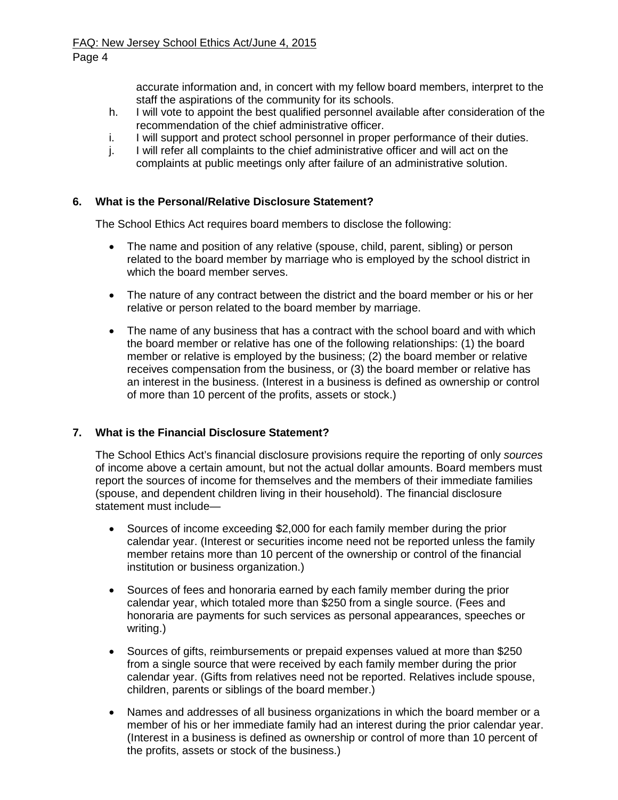accurate information and, in concert with my fellow board members, interpret to the staff the aspirations of the community for its schools.

- h. I will vote to appoint the best qualified personnel available after consideration of the recommendation of the chief administrative officer.
- i. I will support and protect school personnel in proper performance of their duties.
- j. I will refer all complaints to the chief administrative officer and will act on the complaints at public meetings only after failure of an administrative solution.

## **6. What is the Personal/Relative Disclosure Statement?**

The School Ethics Act requires board members to disclose the following:

- The name and position of any relative (spouse, child, parent, sibling) or person related to the board member by marriage who is employed by the school district in which the board member serves.
- The nature of any contract between the district and the board member or his or her relative or person related to the board member by marriage.
- The name of any business that has a contract with the school board and with which the board member or relative has one of the following relationships: (1) the board member or relative is employed by the business; (2) the board member or relative receives compensation from the business, or (3) the board member or relative has an interest in the business. (Interest in a business is defined as ownership or control of more than 10 percent of the profits, assets or stock.)

# **7. What is the Financial Disclosure Statement?**

The School Ethics Act's financial disclosure provisions require the reporting of only *sources*  of income above a certain amount, but not the actual dollar amounts. Board members must report the sources of income for themselves and the members of their immediate families (spouse, and dependent children living in their household). The financial disclosure statement must include—

- Sources of income exceeding \$2,000 for each family member during the prior calendar year. (Interest or securities income need not be reported unless the family member retains more than 10 percent of the ownership or control of the financial institution or business organization.)
- Sources of fees and honoraria earned by each family member during the prior calendar year, which totaled more than \$250 from a single source. (Fees and honoraria are payments for such services as personal appearances, speeches or writing.)
- Sources of gifts, reimbursements or prepaid expenses valued at more than \$250 from a single source that were received by each family member during the prior calendar year. (Gifts from relatives need not be reported. Relatives include spouse, children, parents or siblings of the board member.)
- Names and addresses of all business organizations in which the board member or a member of his or her immediate family had an interest during the prior calendar year. (Interest in a business is defined as ownership or control of more than 10 percent of the profits, assets or stock of the business.)